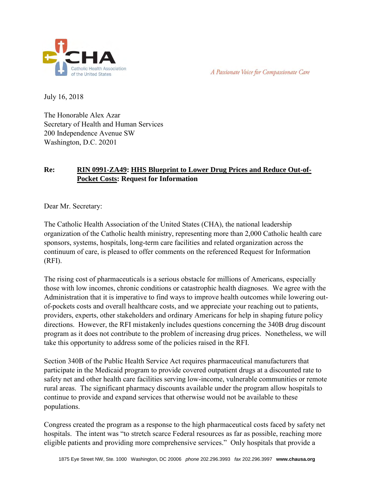



July 16, 2018

The Honorable Alex Azar Secretary of Health and Human Services 200 Independence Avenue SW Washington, D.C. 20201

# **Re: RIN 0991-ZA49: HHS Blueprint to Lower Drug Prices and Reduce Out-of-Pocket Costs: Request for Information**

Dear Mr. Secretary:

The Catholic Health Association of the United States (CHA), the national leadership organization of the Catholic health ministry, representing more than 2,000 Catholic health care sponsors, systems, hospitals, long-term care facilities and related organization across the continuum of care, is pleased to offer comments on the referenced Request for Information (RFI).

The rising cost of pharmaceuticals is a serious obstacle for millions of Americans, especially those with low incomes, chronic conditions or catastrophic health diagnoses. We agree with the Administration that it is imperative to find ways to improve health outcomes while lowering outof-pockets costs and overall healthcare costs, and we appreciate your reaching out to patients, providers, experts, other stakeholders and ordinary Americans for help in shaping future policy directions. However, the RFI mistakenly includes questions concerning the 340B drug discount program as it does not contribute to the problem of increasing drug prices. Nonetheless, we will take this opportunity to address some of the policies raised in the RFI.

Section 340B of the Public Health Service Act requires pharmaceutical manufacturers that participate in the Medicaid program to provide covered outpatient drugs at a discounted rate to safety net and other health care facilities serving low-income, vulnerable communities or remote rural areas. The significant pharmacy discounts available under the program allow hospitals to continue to provide and expand services that otherwise would not be available to these populations.

Congress created the program as a response to the high pharmaceutical costs faced by safety net hospitals. The intent was "to stretch scarce Federal resources as far as possible, reaching more eligible patients and providing more comprehensive services." Only hospitals that provide a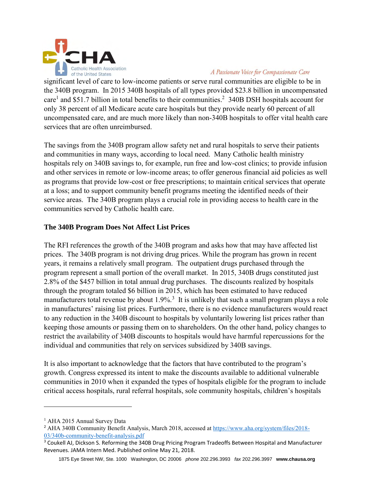

#### A Passionate Voice for Compassionate Care

significant level of care to low-income patients or serve rural communities are eligible to be in the 340B program. In 2015 340B hospitals of all types provided \$23.8 billion in uncompensated care<sup>1</sup> and \$51.7 billion in total benefits to their communities.<sup>2</sup> 340B DSH hospitals account for only 38 percent of all Medicare acute care hospitals but they provide nearly 60 percent of all uncompensated care, and are much more likely than non-340B hospitals to offer vital health care services that are often unreimbursed.

The savings from the 340B program allow safety net and rural hospitals to serve their patients and communities in many ways, according to local need. Many Catholic health ministry hospitals rely on 340B savings to, for example, run free and low-cost clinics; to provide infusion and other services in remote or low-income areas; to offer generous financial aid policies as well as programs that provide low-cost or free prescriptions; to maintain critical services that operate at a loss; and to support community benefit programs meeting the identified needs of their service areas. The 340B program plays a crucial role in providing access to health care in the communities served by Catholic health care.

## **The 340B Program Does Not Affect List Prices**

The RFI references the growth of the 340B program and asks how that may have affected list prices. The 340B program is not driving drug prices. While the program has grown in recent years, it remains a relatively small program. The outpatient drugs purchased through the program represent a small portion of the overall market. In 2015, 340B drugs constituted just 2.8% of the \$457 billion in total annual drug purchases. The discounts realized by hospitals through the program totaled \$6 billion in 2015, which has been estimated to have reduced manufacturers total revenue by about  $1.9\%$ <sup>3</sup> It is unlikely that such a small program plays a role in manufactures' raising list prices. Furthermore, there is no evidence manufacturers would react to any reduction in the 340B discount to hospitals by voluntarily lowering list prices rather than keeping those amounts or passing them on to shareholders. On the other hand, policy changes to restrict the availability of 340B discounts to hospitals would have harmful repercussions for the individual and communities that rely on services subsidized by 340B savings.

It is also important to acknowledge that the factors that have contributed to the program's growth. Congress expressed its intent to make the discounts available to additional vulnerable communities in 2010 when it expanded the types of hospitals eligible for the program to include critical access hospitals, rural referral hospitals, sole community hospitals, children's hospitals

 $\overline{\phantom{a}}$ 

<sup>&</sup>lt;sup>1</sup> AHA 2015 Annual Survey Data

<sup>2</sup> AHA 340B Community Benefit Analysis, March 2018, accessed at [https://www.aha.org/system/files/2018-](https://na01.safelinks.protection.outlook.com/?url=http%3A%2F%2Flink.email.dynect.net%2Flink.php%3FDynEngagement%3Dtrue%26H%3D%252Bdu7sJaY23OO%252BqQ6mC2QqglzHYl8onDna9bYv0z8S%252B2c1yLWI1mxfkktX0koWQRqOQltfU81mAt8XzUe0QfDpk527%252BfejxRfhsDHuRuP7CSI75v3ZrcSQg%253D%253D%26G%3D0%26R%3Dhttps%253A%252F%252Fwww.aha.org%252Fsystem%252Ffiles%252F2018-03%252F340b-community-benefit-analysis.pdf%26I%3D20180315153345.0000011c90ba%2540mail6-59-ussnn1%26X%3DMHwxMDQ2NzU4OjVhYWE5MjUzOGI5YzJjNWM5Y2NhMWNjMDs%253D%26S%3DA7sPmPuGw7HPcuyq1rck7bqFq8XhXJKpWMZc8hDKdF8&data=02%7C01%7Cgdvalentine%40aha.org%7C053f301ae85b4c20067808d58a8a2494%7Cb9119340beb74e5e84b23cc18f7b36a6%7C0%7C1%7C636567248295064768&sdata=f8Ptdc7TyZgMfgVc2fKxmyzyQi2p8XtMAgK0vv1NAJ8%3D&reserved=0) [03/340b-community-benefit-analysis.pdf](https://na01.safelinks.protection.outlook.com/?url=http%3A%2F%2Flink.email.dynect.net%2Flink.php%3FDynEngagement%3Dtrue%26H%3D%252Bdu7sJaY23OO%252BqQ6mC2QqglzHYl8onDna9bYv0z8S%252B2c1yLWI1mxfkktX0koWQRqOQltfU81mAt8XzUe0QfDpk527%252BfejxRfhsDHuRuP7CSI75v3ZrcSQg%253D%253D%26G%3D0%26R%3Dhttps%253A%252F%252Fwww.aha.org%252Fsystem%252Ffiles%252F2018-03%252F340b-community-benefit-analysis.pdf%26I%3D20180315153345.0000011c90ba%2540mail6-59-ussnn1%26X%3DMHwxMDQ2NzU4OjVhYWE5MjUzOGI5YzJjNWM5Y2NhMWNjMDs%253D%26S%3DA7sPmPuGw7HPcuyq1rck7bqFq8XhXJKpWMZc8hDKdF8&data=02%7C01%7Cgdvalentine%40aha.org%7C053f301ae85b4c20067808d58a8a2494%7Cb9119340beb74e5e84b23cc18f7b36a6%7C0%7C1%7C636567248295064768&sdata=f8Ptdc7TyZgMfgVc2fKxmyzyQi2p8XtMAgK0vv1NAJ8%3D&reserved=0)

<sup>&</sup>lt;sup>3</sup> Coukell AJ, Dickson S. Reforming the 340B Drug Pricing Program Tradeoffs Between Hospital and Manufacturer Revenues. JAMA Intern Med. Published online May 21, 2018.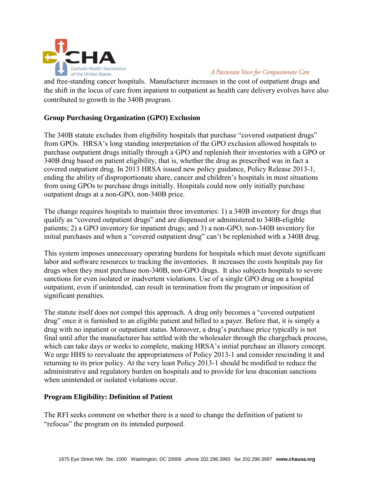

A Passionate Voice for Compassionate Care

and free-standing cancer hospitals. Manufacturer increases in the cost of outpatient drugs and the shift in the locus of care from inpatient to outpatient as health care delivery evolves have also contributed to growth in the 340B program.

# **Group Purchasing Organization (GPO) Exclusion**

The 340B statute excludes from eligibility hospitals that purchase "covered outpatient drugs" from GPOs. HRSA's long standing interpretation of the GPO exclusion allowed hospitals to purchase outpatient drugs initially through a GPO and replenish their inventories with a GPO or 340B drug based on patient eligibility, that is, whether the drug as prescribed was in fact a covered outpatient drug. In 2013 HRSA issued new policy guidance, Policy Release 2013-1, ending the ability of disproportionate share, cancer and children's hospitals in most situations from using GPOs to purchase drugs initially. Hospitals could now only initially purchase outpatient drugs at a non-GPO, non-340B price.

The change requires hospitals to maintain three inventories: 1) a 340B inventory for drugs that qualify as "covered outpatient drugs" and are dispensed or administered to 340B-eligible patients; 2) a GPO inventory for inpatient drugs; and 3) a non-GPO, non-340B inventory for initial purchases and when a "covered outpatient drug" can't be replenished with a 340B drug.

This system imposes unnecessary operating burdens for hospitals which must devote significant labor and software resources to tracking the inventories. It increases the costs hospitals pay for drugs when they must purchase non-340B, non-GPO drugs. It also subjects hospitals to severe sanctions for even isolated or inadvertent violations. Use of a single GPO drug on a hospital outpatient, even if unintended, can result in termination from the program or imposition of significant penalties.

The statute itself does not compel this approach. A drug only becomes a "covered outpatient drug" once it is furnished to an eligible patient and billed to a payer. Before that, it is simply a drug with no inpatient or outpatient status. Moreover, a drug's purchase price typically is not final until after the manufacturer has settled with the wholesaler through the chargeback process, which can take days or weeks to complete, making HRSA's initial purchase an illusory concept. We urge HHS to reevaluate the appropriateness of Policy 2013-1 and consider rescinding it and returning to its prior policy. At the very least Policy 2013-1 should be modified to reduce the administrative and regulatory burden on hospitals and to provide for less draconian sanctions when unintended or isolated violations occur.

## **Program Eligibility: Definition of Patient**

The RFI seeks comment on whether there is a need to change the definition of patient to "refocus" the program on its intended purposed.